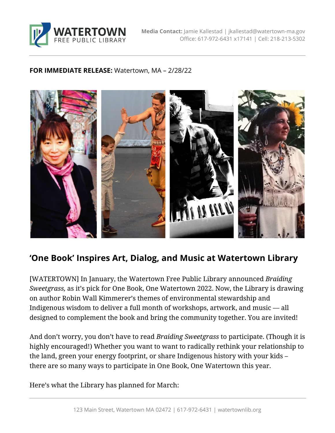

### **FOR IMMEDIATE RELEASE:** Watertown, MA – 2/28/22



# **'One Book' Inspires Art, Dialog, and Music at Watertown Library**

[WATERTOWN] In January, the Watertown Free Public Library announced *Braiding Sweetgrass,* as it's pick for One Book, One Watertown 2022. Now, the Library is drawing on author Robin Wall Kimmerer's themes of environmental stewardship and Indigenous wisdom to deliver a full month of workshops, artwork, and music — all designed to complement the book and bring the community together. You are invited!

And don't worry, you don't have to read *Braiding Sweetgrass* to participate. (Though it is highly encouraged!) Whether you want to want to radically rethink your relationship to the land, green your energy footprint, or share Indigenous history with your kids – there are so many ways to participate in One Book, One Watertown this year.

Here's what the Library has planned for March: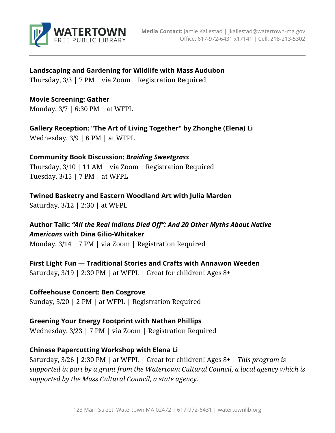

### **Landscaping and Gardening for Wildlife with Mass Audubon**

Thursday, 3/3 | 7 PM | via Zoom | Registration Required

### **Movie Screening: Gather**

Monday, 3/7 | 6:30 PM | at WFPL

**Gallery Reception: "The Art of Living Together" by Zhonghe (Elena) Li**  Wednesday, 3/9 | 6 PM | at WFPL

## **Community Book Discussion:** *Braiding Sweetgrass*

Thursday, 3/10 | 11 AM | via Zoom | Registration Required Tuesday, 3/15 | 7 PM | at WFPL

**Twined Basketry and Eastern Woodland Art with Julia Marden** Saturday, 3/12 | 2:30 | at WFPL

**Author Talk:** *"All the Real Indians Died Off": And 20 Other Myths About Native Americans* **with Dina Gilio-Whitaker** Monday, 3/14 | 7 PM | via Zoom | Registration Required

**First Light Fun — Traditional Stories and Crafts with Annawon Weeden** Saturday, 3/19 | 2:30 PM | at WFPL | Great for children! Ages 8+

**Coffeehouse Concert: Ben Cosgrove** Sunday, 3/20 | 2 PM | at WFPL | Registration Required

### **Greening Your Energy Footprint with Nathan Phillips** Wednesday, 3/23 | 7 PM | via Zoom | Registration Required

## **Chinese Papercutting Workshop with Elena Li**

Saturday, 3/26 | 2:30 PM | at WFPL | Great for children! Ages 8+ | *This program is supported in part by a grant from the Watertown Cultural Council, a local agency which is supported by the Mass Cultural Council, a state agency.*